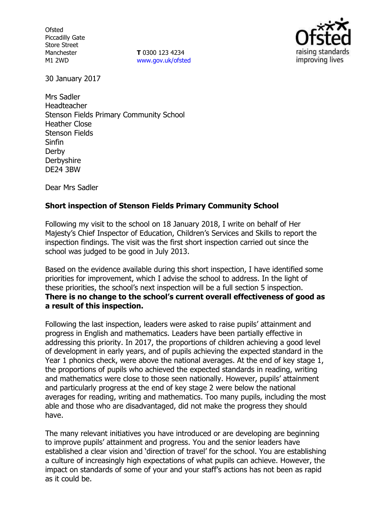**Ofsted** Piccadilly Gate Store Street Manchester M1 2WD

**T** 0300 123 4234 www.gov.uk/ofsted



30 January 2017

Mrs Sadler Headteacher Stenson Fields Primary Community School Heather Close Stenson Fields Sinfin Derby **Derbyshire** DE24 3BW

Dear Mrs Sadler

## **Short inspection of Stenson Fields Primary Community School**

Following my visit to the school on 18 January 2018, I write on behalf of Her Majesty's Chief Inspector of Education, Children's Services and Skills to report the inspection findings. The visit was the first short inspection carried out since the school was judged to be good in July 2013.

Based on the evidence available during this short inspection, I have identified some priorities for improvement, which I advise the school to address. In the light of these priorities, the school's next inspection will be a full section 5 inspection. **There is no change to the school's current overall effectiveness of good as a result of this inspection.**

Following the last inspection, leaders were asked to raise pupils' attainment and progress in English and mathematics. Leaders have been partially effective in addressing this priority. In 2017, the proportions of children achieving a good level of development in early years, and of pupils achieving the expected standard in the Year 1 phonics check, were above the national averages. At the end of key stage 1, the proportions of pupils who achieved the expected standards in reading, writing and mathematics were close to those seen nationally. However, pupils' attainment and particularly progress at the end of key stage 2 were below the national averages for reading, writing and mathematics. Too many pupils, including the most able and those who are disadvantaged, did not make the progress they should have.

The many relevant initiatives you have introduced or are developing are beginning to improve pupils' attainment and progress. You and the senior leaders have established a clear vision and 'direction of travel' for the school. You are establishing a culture of increasingly high expectations of what pupils can achieve. However, the impact on standards of some of your and your staff's actions has not been as rapid as it could be.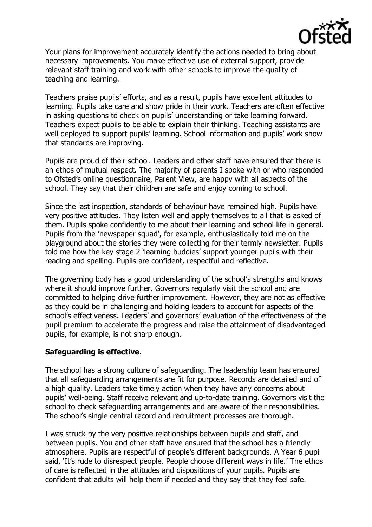

Your plans for improvement accurately identify the actions needed to bring about necessary improvements. You make effective use of external support, provide relevant staff training and work with other schools to improve the quality of teaching and learning.

Teachers praise pupils' efforts, and as a result, pupils have excellent attitudes to learning. Pupils take care and show pride in their work. Teachers are often effective in asking questions to check on pupils' understanding or take learning forward. Teachers expect pupils to be able to explain their thinking. Teaching assistants are well deployed to support pupils' learning. School information and pupils' work show that standards are improving.

Pupils are proud of their school. Leaders and other staff have ensured that there is an ethos of mutual respect. The majority of parents I spoke with or who responded to Ofsted's online questionnaire, Parent View, are happy with all aspects of the school. They say that their children are safe and enjoy coming to school.

Since the last inspection, standards of behaviour have remained high. Pupils have very positive attitudes. They listen well and apply themselves to all that is asked of them. Pupils spoke confidently to me about their learning and school life in general. Pupils from the 'newspaper squad', for example, enthusiastically told me on the playground about the stories they were collecting for their termly newsletter. Pupils told me how the key stage 2 'learning buddies' support younger pupils with their reading and spelling. Pupils are confident, respectful and reflective.

The governing body has a good understanding of the school's strengths and knows where it should improve further. Governors regularly visit the school and are committed to helping drive further improvement. However, they are not as effective as they could be in challenging and holding leaders to account for aspects of the school's effectiveness. Leaders' and governors' evaluation of the effectiveness of the pupil premium to accelerate the progress and raise the attainment of disadvantaged pupils, for example, is not sharp enough.

## **Safeguarding is effective.**

The school has a strong culture of safeguarding. The leadership team has ensured that all safeguarding arrangements are fit for purpose. Records are detailed and of a high quality. Leaders take timely action when they have any concerns about pupils' well-being. Staff receive relevant and up-to-date training. Governors visit the school to check safeguarding arrangements and are aware of their responsibilities. The school's single central record and recruitment processes are thorough.

I was struck by the very positive relationships between pupils and staff, and between pupils. You and other staff have ensured that the school has a friendly atmosphere. Pupils are respectful of people's different backgrounds. A Year 6 pupil said, 'It's rude to disrespect people. People choose different ways in life.' The ethos of care is reflected in the attitudes and dispositions of your pupils. Pupils are confident that adults will help them if needed and they say that they feel safe.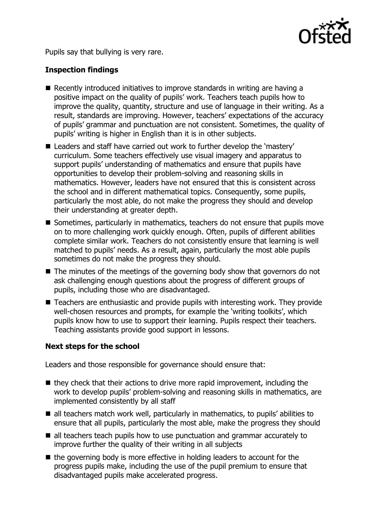

Pupils say that bullying is very rare.

# **Inspection findings**

- Recently introduced initiatives to improve standards in writing are having a positive impact on the quality of pupils' work. Teachers teach pupils how to improve the quality, quantity, structure and use of language in their writing. As a result, standards are improving. However, teachers' expectations of the accuracy of pupils' grammar and punctuation are not consistent. Sometimes, the quality of pupils' writing is higher in English than it is in other subjects.
- Leaders and staff have carried out work to further develop the 'mastery' curriculum. Some teachers effectively use visual imagery and apparatus to support pupils' understanding of mathematics and ensure that pupils have opportunities to develop their problem-solving and reasoning skills in mathematics. However, leaders have not ensured that this is consistent across the school and in different mathematical topics. Consequently, some pupils, particularly the most able, do not make the progress they should and develop their understanding at greater depth.
- Sometimes, particularly in mathematics, teachers do not ensure that pupils move on to more challenging work quickly enough. Often, pupils of different abilities complete similar work. Teachers do not consistently ensure that learning is well matched to pupils' needs. As a result, again, particularly the most able pupils sometimes do not make the progress they should.
- $\blacksquare$  The minutes of the meetings of the governing body show that governors do not ask challenging enough questions about the progress of different groups of pupils, including those who are disadvantaged.
- Teachers are enthusiastic and provide pupils with interesting work. They provide well-chosen resources and prompts, for example the 'writing toolkits', which pupils know how to use to support their learning. Pupils respect their teachers. Teaching assistants provide good support in lessons.

## **Next steps for the school**

Leaders and those responsible for governance should ensure that:

- $\blacksquare$  they check that their actions to drive more rapid improvement, including the work to develop pupils' problem-solving and reasoning skills in mathematics, are implemented consistently by all staff
- all teachers match work well, particularly in mathematics, to pupils' abilities to ensure that all pupils, particularly the most able, make the progress they should
- all teachers teach pupils how to use punctuation and grammar accurately to improve further the quality of their writing in all subjects
- $\blacksquare$  the governing body is more effective in holding leaders to account for the progress pupils make, including the use of the pupil premium to ensure that disadvantaged pupils make accelerated progress.